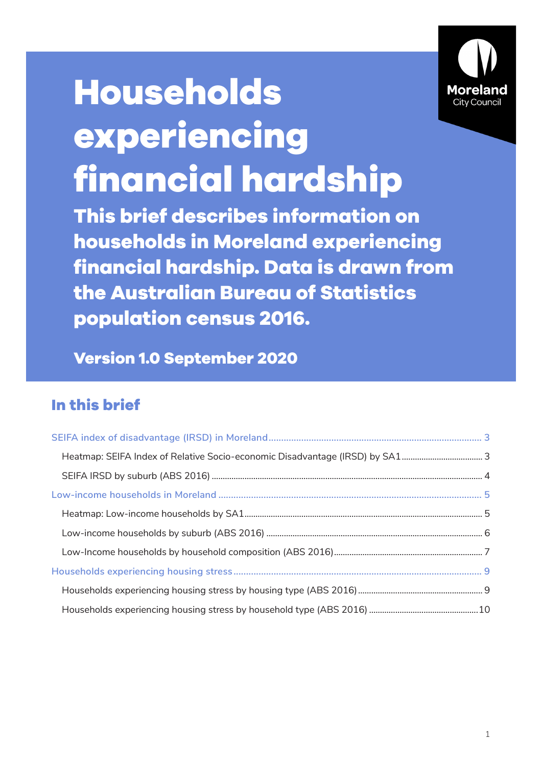

# **Households experiencing financial hardship**

**This brief describes information on households in Moreland experiencing financial hardship. Data is drawn from the Australian Bureau of Statistics population census 2016.**

**Version 1.0 September 2020**

## **In this brief**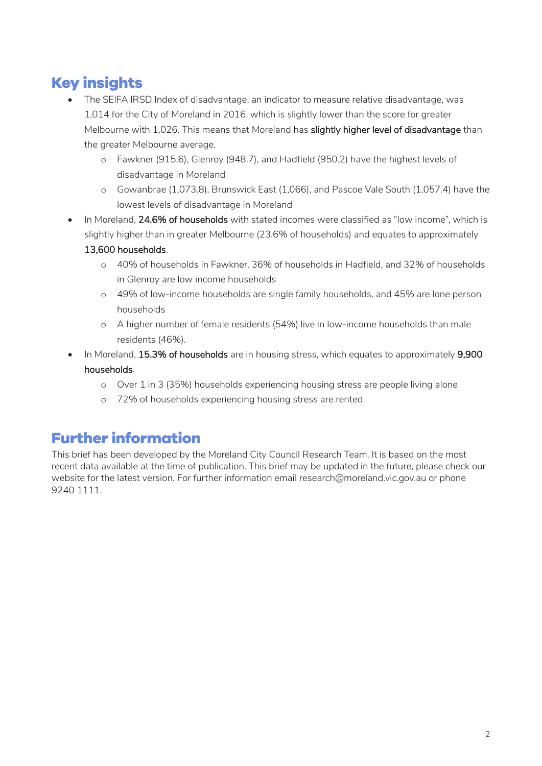# **Key insights**

- The SEIFA IRSD Index of disadvantage, an indicator to measure relative disadvantage, was 1,014 for the City of Moreland in 2016, which is slightly lower than the score for greater Melbourne with 1,026. This means that Moreland has slightly higher level of disadvantage than the greater Melbourne average.
	- o Fawkner (915.6), Glenroy (948.7), and Hadfield (950.2) have the highest levels of disadvantage in Moreland
	- o Gowanbrae (1,073.8), Brunswick East (1,066), and Pascoe Vale South (1,057.4) have the lowest levels of disadvantage in Moreland
- In Moreland, 24.6% of households with stated incomes were classified as "low income", which is slightly higher than in greater Melbourne (23.6% of households) and equates to approximately 13,600 households.
	- o 40% of households in Fawkner, 36% of households in Hadfield, and 32% of households in Glenroy are low income households
	- o 49% of low-income households are single family households, and 45% are lone person households
	- o A higher number of female residents (54%) live in low-income households than male residents (46%).
- In Moreland, 15.3% of households are in housing stress, which equates to approximately 9,900 households.
	- o Over 1 in 3 (35%) households experiencing housing stress are people living alone
	- o 72% of households experiencing housing stress are rented

## **Further information**

This brief has been developed by the Moreland City Council Research Team. It is based on the most recent data available at the time of publication. This brief may be updated in the future, please check our website for the latest version. For further information email research@moreland.vic.gov.au or phone 9240 1111.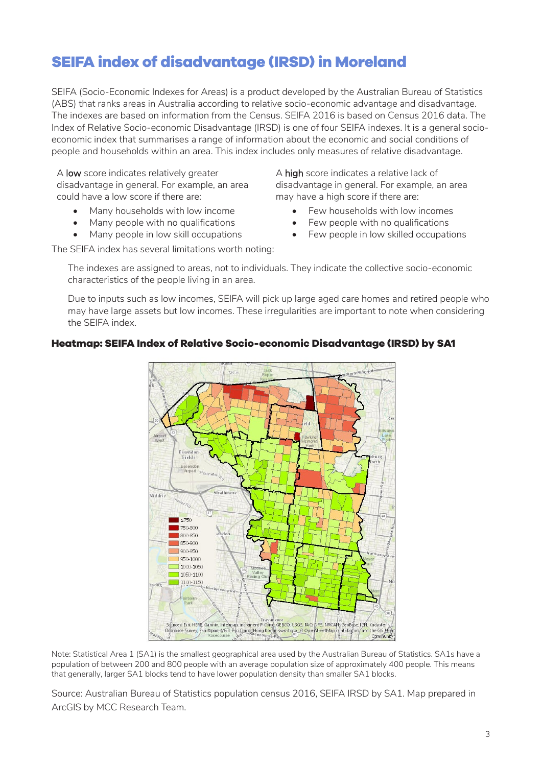## <span id="page-2-0"></span>**SEIFA index of disadvantage (IRSD) in Moreland**

SEIFA (Socio-Economic Indexes for Areas) is a product developed by the Australian Bureau of Statistics (ABS) that ranks areas in Australia according to relative socio-economic advantage and disadvantage. The indexes are based on information from the Census. SEIFA 2016 is based on Census 2016 data. The Index of Relative Socio-economic Disadvantage (IRSD) is one of four SEIFA indexes. It is a general socioeconomic index that summarises a range of information about the economic and social conditions of people and households within an area. This index includes only measures of relative disadvantage.

A low score indicates relatively greater disadvantage in general. For example, an area could have a low score if there are:

- Many households with low income
- Many people with no qualifications
- Many people in low skill occupations

A high score indicates a relative lack of disadvantage in general. For example, an area may have a high score if there are:

- Few households with low incomes
- Few people with no qualifications
- Few people in low skilled occupations

The SEIFA index has several limitations worth noting:

The indexes are assigned to areas, not to individuals. They indicate the collective socio-economic characteristics of the people living in an area.

Due to inputs such as low incomes, SEIFA will pick up large aged care homes and retired people who may have large assets but low incomes. These irregularities are important to note when considering the SEIFA index.

#### <span id="page-2-1"></span>**Heatmap: SEIFA Index of Relative Socio-economic Disadvantage (IRSD) by SA1**



Note: Statistical Area 1 (SA1) is the smallest geographical area used by the Australian Bureau of Statistics. SA1s have a population of between 200 and 800 people with an average population size of approximately 400 people. This means that generally, larger SA1 blocks tend to have lower population density than smaller SA1 blocks.

Source: Australian Bureau of Statistics population census 2016, SEIFA IRSD by SA1. Map prepared in ArcGIS by MCC Research Team.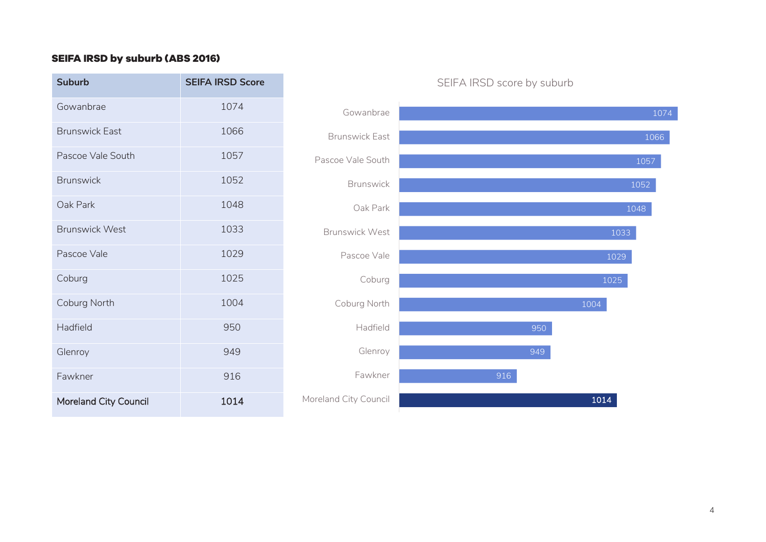## **SEIFA IRSD by suburb (ABS 2016)**

<span id="page-3-0"></span>

| <b>Suburb</b>                | <b>SEIFA IRSD Score</b> |                       | SEIFA IRSD score by suburb |
|------------------------------|-------------------------|-----------------------|----------------------------|
| Gowanbrae                    | 1074                    | Gowanbrae             |                            |
| <b>Brunswick East</b>        | 1066                    | <b>Brunswick East</b> |                            |
| Pascoe Vale South            | 1057                    | Pascoe Vale South     |                            |
| <b>Brunswick</b>             | 1052                    | <b>Brunswick</b>      |                            |
| Oak Park                     | 1048                    | Oak Park              |                            |
| <b>Brunswick West</b>        | 1033                    | <b>Brunswick West</b> |                            |
| Pascoe Vale                  | 1029                    | Pascoe Vale           | $\mathbf{1}$               |
| Coburg                       | 1025                    | Coburg                | 1 <sup>1</sup>             |
| Coburg North                 | 1004                    | Coburg North          | 1004                       |
| Hadfield                     | 950                     | Hadfield              | 950                        |
| Glenroy                      | 949                     | Glenroy               | 949                        |
| Fawkner                      | 916                     | Fawkner               | 916                        |
| <b>Moreland City Council</b> | 1014                    | Moreland City Council | 1014                       |

## 916 949 950 1004 1025 1029 1033 1048 1052 1057 1066 1074 Fawkner Glenroy Hadfield Coburg North Coburg Pascoe Vale Brunswick West Oak Park Brunswick Pascoe Vale South Brunswick East Gowanbrae

#### SEIFA IRSD score by suburb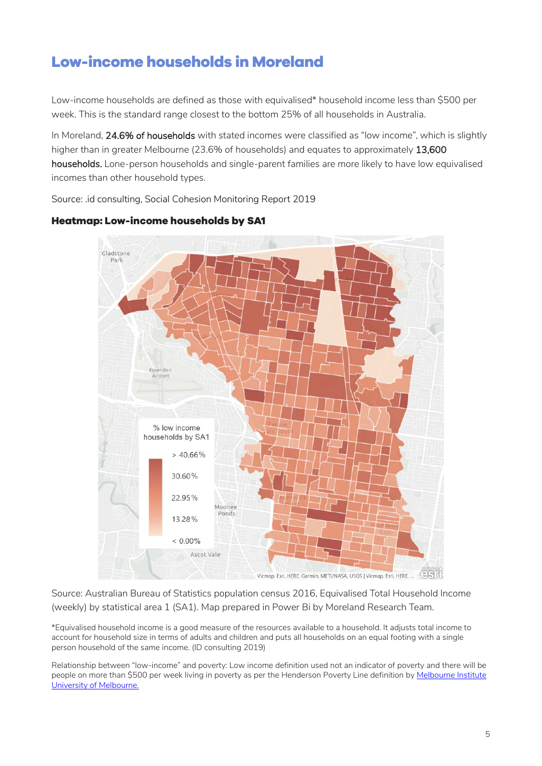## <span id="page-4-0"></span>**Low-income households in Moreland**

Low-income households are defined as those with equivalised\* household income less than \$500 per week. This is the standard range closest to the bottom 25% of all households in Australia.

In Moreland, 24.6% of households with stated incomes were classified as "low income", which is slightly higher than in greater Melbourne (23.6% of households) and equates to approximately 13,600 households. Lone-person households and single-parent families are more likely to have low equivalised incomes than other household types.

Source: .id consulting, Social Cohesion Monitoring Report 2019



#### <span id="page-4-1"></span>**Heatmap: Low-income households by SA1**

Source: Australian Bureau of Statistics population census 2016, Equivalised Total Household Income (weekly) by statistical area 1 (SA1). Map prepared in Power Bi by Moreland Research Team.

\*Equivalised household income is a good measure of the resources available to a household. It adjusts total income to account for household size in terms of adults and children and puts all households on an equal footing with a single person household of the same income. (ID consulting 2019)

<span id="page-4-2"></span>Relationship between "low-income" and poverty: Low income definition used not an indicator of poverty and there will be people on more than \$500 per week living in poverty as per the Henderson Poverty Line definition by Melbourne Institute [University of Melbourne.](https://melbourneinstitute.unimelb.edu.au/publications/poverty-lines)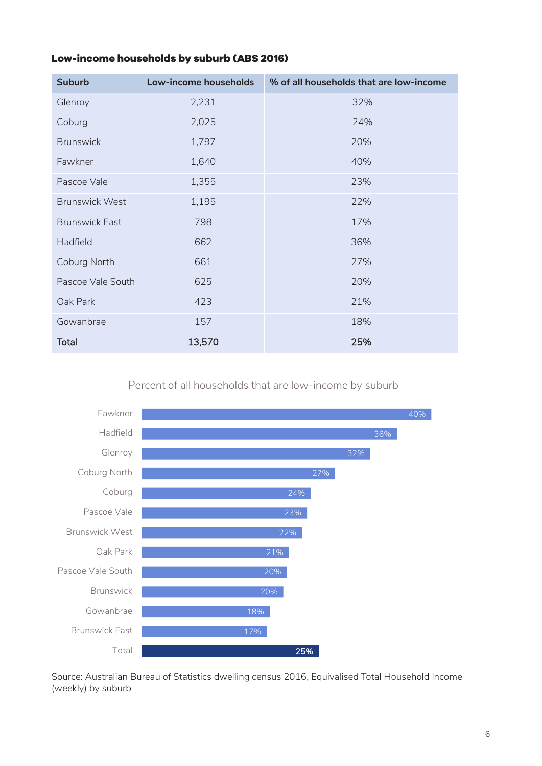## **Low-income households by suburb (ABS 2016)**

| <b>Suburb</b>         | Low-income households | % of all households that are low-income |
|-----------------------|-----------------------|-----------------------------------------|
| Glenroy               | 2,231                 | 32%                                     |
| Coburg                | 2,025                 | 24%                                     |
| <b>Brunswick</b>      | 1,797                 | 20%                                     |
| Fawkner               | 1,640                 | 40%                                     |
| Pascoe Vale           | 1,355                 | 23%                                     |
| <b>Brunswick West</b> | 1,195                 | 22%                                     |
| <b>Brunswick East</b> | 798                   | 17%                                     |
| Hadfield              | 662                   | 36%                                     |
| Coburg North          | 661                   | 27%                                     |
| Pascoe Vale South     | 625                   | 20%                                     |
| Oak Park              | 423                   | 21%                                     |
| Gowanbrae             | 157                   | 18%                                     |
| <b>Total</b>          | 13,570                | 25%                                     |

Percent of all households that are low-income by suburb



Source: Australian Bureau of Statistics dwelling census 2016, Equivalised Total Household Income (weekly) by suburb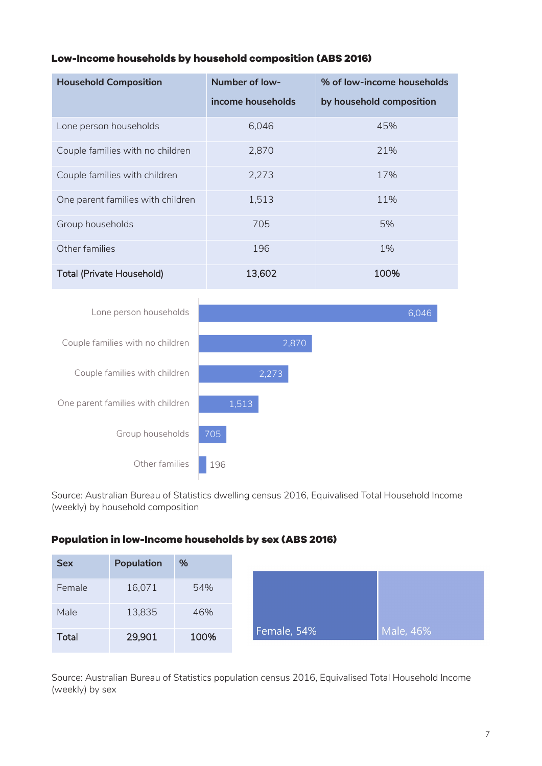## <span id="page-6-0"></span>**Low-Income households by household composition (ABS 2016)**

| <b>Household Composition</b>      | <b>Number of low-</b> | % of low-income households |
|-----------------------------------|-----------------------|----------------------------|
|                                   | income households     | by household composition   |
| Lone person households            | 6,046                 | 45%                        |
| Couple families with no children  | 2,870                 | 21%                        |
| Couple families with children     | 2,273                 | 17%                        |
| One parent families with children | 1,513                 | 11%                        |
| Group households                  | 705                   | 5%                         |
| Other families                    | 196                   | 1%                         |
| <b>Total (Private Household)</b>  | 13,602                | 100%                       |



Source: Australian Bureau of Statistics dwelling census 2016, Equivalised Total Household Income (weekly) by household composition

#### **Population in low-Income households by sex (ABS 2016)**

| <b>Sex</b>   | <b>Population</b> | %    |             |           |
|--------------|-------------------|------|-------------|-----------|
| Female       | 16,071            | 54%  |             |           |
| Male         | 13,835            | 46%  |             |           |
| <b>Total</b> | 29,901            | 100% | Female, 54% | Male, 46% |

Source: Australian Bureau of Statistics population census 2016, Equivalised Total Household Income (weekly) by sex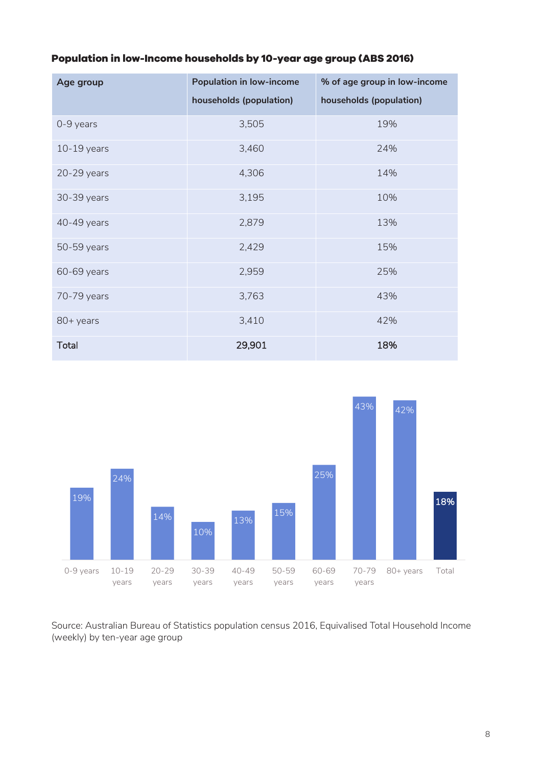|  | Population in low-Income households by 10-year age group (ABS 2016) |  |  |  |
|--|---------------------------------------------------------------------|--|--|--|
|--|---------------------------------------------------------------------|--|--|--|

| Age group     | <b>Population in low-income</b> | % of age group in low-income |  |
|---------------|---------------------------------|------------------------------|--|
|               | households (population)         | households (population)      |  |
| 0-9 years     | 3,505                           | 19%                          |  |
| $10-19$ years | 3,460                           | 24%                          |  |
| 20-29 years   | 4,306                           | 14%                          |  |
| 30-39 years   | 3,195                           | 10%                          |  |
| 40-49 years   | 2,879                           | 13%                          |  |
| 50-59 years   | 2,429                           | 15%                          |  |
| 60-69 years   | 2,959                           | 25%                          |  |
| 70-79 years   | 3,763                           | 43%                          |  |
| 80+ years     | 3,410                           | 42%                          |  |
| <b>Total</b>  | 29,901                          | 18%                          |  |



Source: Australian Bureau of Statistics population census 2016, Equivalised Total Household Income (weekly) by ten-year age group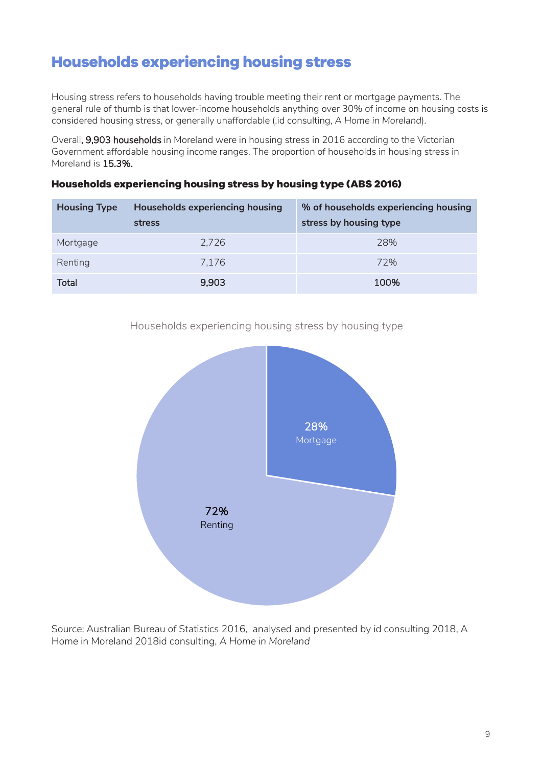## <span id="page-8-0"></span>**Households experiencing housing stress**

Housing stress refers to households having trouble meeting their rent or mortgage payments. The general rule of thumb is that lower-income households anything over 30% of income on housing costs is considered housing stress, or generally unaffordable (.id consulting, *A Home in Moreland*).

Overall, 9,903 households in Moreland were in housing stress in 2016 according to the Victorian Government affordable housing income ranges. The proportion of households in housing stress in Moreland is 15.3%.

| <b>Housing Type</b> | <b>Households experiencing housing</b><br>stress | % of households experiencing housing<br>stress by housing type |
|---------------------|--------------------------------------------------|----------------------------------------------------------------|
| Mortgage            | 2,726                                            | 28%                                                            |
| Renting             | 7.176                                            | 72%                                                            |
| <b>Total</b>        | 9,903                                            | 100%                                                           |

#### <span id="page-8-1"></span>**Households experiencing housing stress by housing type (ABS 2016)**





Source: Australian Bureau of Statistics 2016, analysed and presented by id consulting 2018, A Home in Moreland 2018id consulting, *A Home in Moreland*